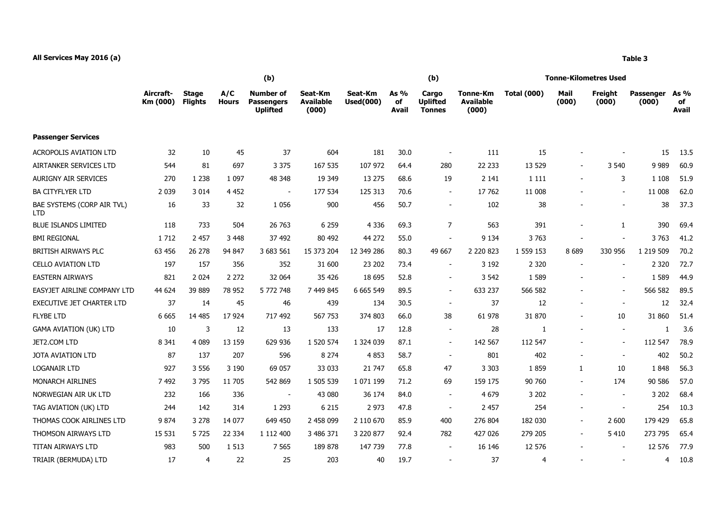## **All Services May 2016 (a) Table 3**

|                                          |                       | (b)                            |                     |                                                          |                                      |                             |                     | (b)                                       |                                       | <b>Tonne-Kilometres Used</b> |                          |                          |                           |                            |
|------------------------------------------|-----------------------|--------------------------------|---------------------|----------------------------------------------------------|--------------------------------------|-----------------------------|---------------------|-------------------------------------------|---------------------------------------|------------------------------|--------------------------|--------------------------|---------------------------|----------------------------|
|                                          | Aircraft-<br>Km (000) | <b>Stage</b><br><b>Flights</b> | A/C<br><b>Hours</b> | <b>Number of</b><br><b>Passengers</b><br><b>Uplifted</b> | Seat-Km<br><b>Available</b><br>(000) | Seat-Km<br><b>Used(000)</b> | As %<br>оf<br>Avail | Cargo<br><b>Uplifted</b><br><b>Tonnes</b> | Tonne-Km<br><b>Available</b><br>(000) | <b>Total (000)</b>           | Mail<br>(000)            | Freight<br>(000)         | <b>Passenger</b><br>(000) | As %<br>of<br><b>Avail</b> |
| <b>Passenger Services</b>                |                       |                                |                     |                                                          |                                      |                             |                     |                                           |                                       |                              |                          |                          |                           |                            |
| <b>ACROPOLIS AVIATION LTD</b>            | 32                    | 10                             | 45                  | 37                                                       | 604                                  | 181                         | 30.0                | $\overline{\phantom{a}}$                  | 111                                   | 15                           |                          |                          | 15                        | 13.5                       |
| <b>AIRTANKER SERVICES LTD</b>            | 544                   | 81                             | 697                 | 3 3 7 5                                                  | 167 535                              | 107 972                     | 64.4                | 280                                       | 22 233                                | 13 5 29                      |                          | 3 5 4 0                  | 9 9 8 9                   | 60.9                       |
| <b>AURIGNY AIR SERVICES</b>              | 270                   | 1 2 3 8                        | 1 0 9 7             | 48 348                                                   | 19 349                               | 13 275                      | 68.6                | 19                                        | 2 1 4 1                               | 1 1 1 1                      |                          | 3                        | 1 1 0 8                   | 51.9                       |
| <b>BA CITYFLYER LTD</b>                  | 2 0 3 9               | 3 0 1 4                        | 4 4 5 2             | $\overline{\phantom{a}}$                                 | 177 534                              | 125 313                     | 70.6                | $\blacksquare$                            | 17 762                                | 11 008                       |                          | $\blacksquare$           | 11 008                    | 62.0                       |
| BAE SYSTEMS (CORP AIR TVL)<br><b>LTD</b> | 16                    | 33                             | 32                  | 1 0 5 6                                                  | 900                                  | 456                         | 50.7                | $\sim$                                    | 102                                   | 38                           |                          |                          | 38                        | 37.3                       |
| <b>BLUE ISLANDS LIMITED</b>              | 118                   | 733                            | 504                 | 26 763                                                   | 6 2 5 9                              | 4 3 3 6                     | 69.3                | $\overline{7}$                            | 563                                   | 391                          |                          | 1                        | 390                       | 69.4                       |
| <b>BMI REGIONAL</b>                      | 1 7 1 2               | 2 4 5 7                        | 3 4 4 8             | 37 492                                                   | 80 492                               | 44 272                      | 55.0                | $\overline{\phantom{a}}$                  | 9 1 3 4                               | 3 7 6 3                      |                          |                          | 3763                      | 41.2                       |
| BRITISH AIRWAYS PLC                      | 63 456                | 26 278                         | 94 847              | 3 683 561                                                | 15 373 204                           | 12 349 286                  | 80.3                | 49 667                                    | 2 2 2 0 8 2 3                         | 1 559 153                    | 8689                     | 330 956                  | 1 219 509                 | 70.2                       |
| <b>CELLO AVIATION LTD</b>                | 197                   | 157                            | 356                 | 352                                                      | 31 600                               | 23 202                      | 73.4                | $\sim$                                    | 3 1 9 2                               | 2 3 2 0                      |                          |                          | 2 3 2 0                   | 72.7                       |
| <b>EASTERN AIRWAYS</b>                   | 821                   | 2 0 2 4                        | 2 2 7 2             | 32 064                                                   | 35 4 26                              | 18 695                      | 52.8                | $\overline{\phantom{a}}$                  | 3 5 4 2                               | 1 5 8 9                      |                          |                          | 1 5 8 9                   | 44.9                       |
| EASYJET AIRLINE COMPANY LTD              | 44 624                | 39 889                         | 78 952              | 5 772 748                                                | 7 449 845                            | 6 6 6 5 5 4 9               | 89.5                | $\sim$                                    | 633 237                               | 566 582                      |                          |                          | 566 582                   | 89.5                       |
| <b>EXECUTIVE JET CHARTER LTD</b>         | 37                    | 14                             | 45                  | 46                                                       | 439                                  | 134                         | 30.5                | $\overline{\phantom{a}}$                  | 37                                    | 12                           | $\overline{\phantom{a}}$ | $\overline{\phantom{a}}$ | 12                        | 32.4                       |
| <b>FLYBE LTD</b>                         | 6 6 6 5               | 14 485                         | 17 9 24             | 717 492                                                  | 567 753                              | 374 803                     | 66.0                | 38                                        | 61 978                                | 31 870                       | $\overline{\phantom{a}}$ | 10                       | 31 860                    | 51.4                       |
| <b>GAMA AVIATION (UK) LTD</b>            | 10                    | 3                              | 12                  | 13                                                       | 133                                  | 17                          | 12.8                | $\sim$                                    | 28                                    | 1                            |                          |                          | 1                         | 3.6                        |
| JET2.COM LTD                             | 8 3 4 1               | 4 0 8 9                        | 13 159              | 629 936                                                  | 1 520 574                            | 1 324 039                   | 87.1                | $\overline{a}$                            | 142 567                               | 112 547                      |                          |                          | 112 547                   | 78.9                       |
| <b>JOTA AVIATION LTD</b>                 | 87                    | 137                            | 207                 | 596                                                      | 8 2 7 4                              | 4853                        | 58.7                | $\sim$                                    | 801                                   | 402                          | $\sim$                   | $\sim$                   | 402                       | 50.2                       |
| <b>LOGANAIR LTD</b>                      | 927                   | 3 5 5 6                        | 3 1 9 0             | 69 057                                                   | 33 033                               | 21 7 47                     | 65.8                | 47                                        | 3 3 0 3                               | 1859                         | $\mathbf{1}$             | 10                       | 1848                      | 56.3                       |
| <b>MONARCH AIRLINES</b>                  | 7 4 9 2               | 3795                           | 11 705              | 542 869                                                  | 1 505 539                            | 1 071 199                   | 71.2                | 69                                        | 159 175                               | 90 760                       | $\overline{\phantom{a}}$ | 174                      | 90 586                    | 57.0                       |
| NORWEGIAN AIR UK LTD                     | 232                   | 166                            | 336                 | $\sim$                                                   | 43 080                               | 36 174                      | 84.0                | $\blacksquare$                            | 4 6 7 9                               | 3 2 0 2                      |                          |                          | 3 2 0 2                   | 68.4                       |
| TAG AVIATION (UK) LTD                    | 244                   | 142                            | 314                 | 1 2 9 3                                                  | 6 2 1 5                              | 2 9 7 3                     | 47.8                | $\sim$                                    | 2 4 5 7                               | 254                          | $\overline{\phantom{a}}$ |                          | 254                       | 10.3                       |
| THOMAS COOK AIRLINES LTD                 | 9874                  | 3 2 7 8                        | 14 077              | 649 450                                                  | 2 458 099                            | 2 110 670                   | 85.9                | 400                                       | 276 804                               | 182 030                      | $\blacksquare$           | 2 600                    | 179 429                   | 65.8                       |
| THOMSON AIRWAYS LTD                      | 15 5 31               | 5725                           | 22 3 34             | 1 112 400                                                | 3 486 371                            | 3 220 877                   | 92.4                | 782                                       | 427 026                               | 279 205                      | $\overline{\phantom{a}}$ | 5 4 1 0                  | 273 795                   | 65.4                       |
| <b>TITAN AIRWAYS LTD</b>                 | 983                   | 500                            | 1 5 1 3             | 7 5 6 5                                                  | 189 878                              | 147 739                     | 77.8                | $\overline{\phantom{a}}$                  | 16 14 6                               | 12 576                       |                          |                          | 12 576                    | 77.9                       |
| TRIAIR (BERMUDA) LTD                     | 17                    | 4                              | 22                  | 25                                                       | 203                                  | 40                          | 19.7                | $\sim$                                    | 37                                    | $\overline{\bf 4}$           |                          |                          | $\overline{4}$            | 10.8                       |